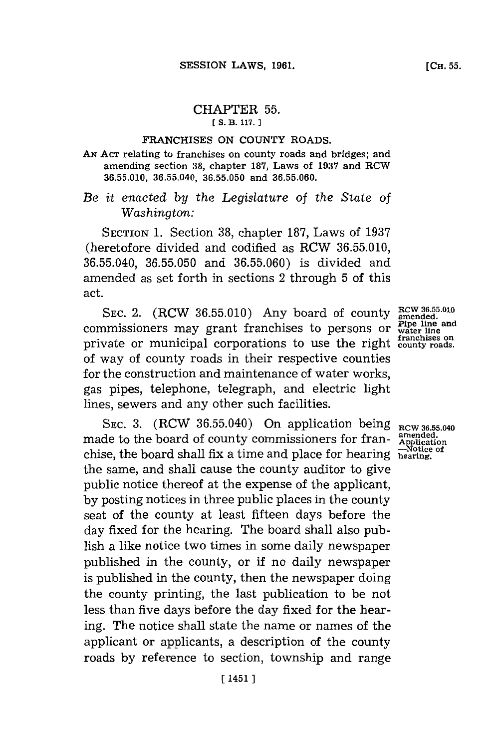# CHAPTER **55.**

## **[S. B. 117. 1**

#### FRANCHISES **ON COUNTY** ROADS.

## **AN ACT** relating to franchises on county roads and bridges; and amending section **38,** chapter **187,** Laws of **1937** and RCW **36.55.010, 36.55.040, 36.55.050** and **36.55.060.**

# *Be it enacted by the Legislature of the State of Washington:*

**SECTION 1.** Section **38,** chapter **187,** Laws of **1937** (heretofore divided and codified as RCW **36.55.010, 36.55.040, 36.55.050** and **36.55.060)** is divided and amended as set forth in sections 2 through **5** of this act.

**RCW 36.55.010 SEC.** 2. (RCW **36.55.010)** Any board of county **amended.** commssioersmay rantfrachiss toperons r **Ppe** line and commissioners may grant franchises to persons or **Pipe line** and **franchises on** private or municipal corporations to use the right **county roads.** of way of county roads in their respective counties for the construction and maintenance of water works, gas pipes, telephone, telegraph, and electric light lines, sewers and any other such facilities.

SEC. 3. (RCW 36.55.040) On application being **RCW 36.55.040**<br>de to the beard of country commissionary for from amended. made to the board of county commissioners for franchise, the board shall fix a time and place for hearing hearing. the same, and shall cause the county auditor to give public notice thereof at the expense of the applicant, **by** posting notices in three public places in the county seat of the county at least fifteen days before the day fixed **for** the hearing. The board shall also publish a like notice two times in some daily newspaper published in the county, or if no daily newspaper is published in the county, then the newspaper doing the county printing, the last publication to be not less than five days before the day fixed **for** the hearing. The notice shall state the name or names of the applicant or applicants, a description of the county roads **by** reference to section, township and range

**-Notice of**